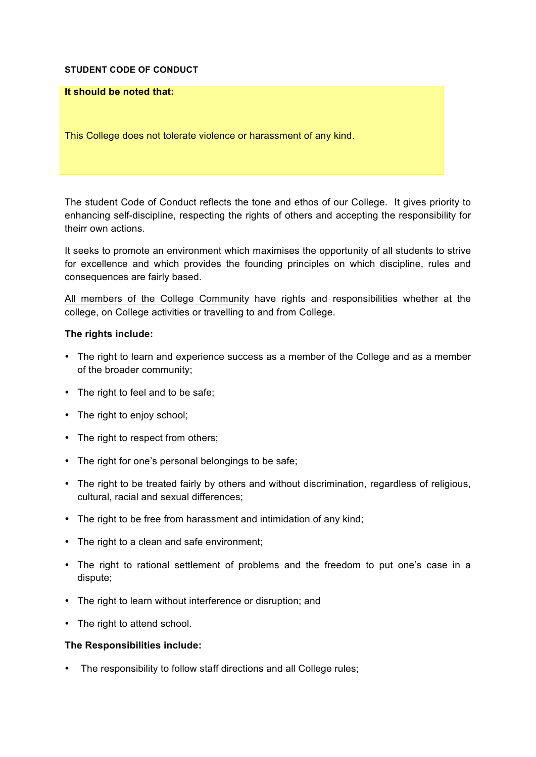## **STUDENT CODE OF CONDUCT**

## **It should be noted that:**

This College does not tolerate violence or harassment of any kind.

The student Code of Conduct reflects the tone and ethos of our College. It gives priority to enhancing self-discipline, respecting the rights of others and accepting the responsibility for theirr own actions.

It seeks to promote an environment which maximises the opportunity of all students to strive for excellence and which provides the founding principles on which discipline, rules and consequences are fairly based.

All members of the College Community have rights and responsibilities whether at the college, on College activities or travelling to and from College.

## **The rights include:**

- The right to learn and experience success as a member of the College and as a member of the broader community;
- The right to feel and to be safe;
- The right to enjoy school;
- The right to respect from others;
- The right for one's personal belongings to be safe;
- The right to be treated fairly by others and without discrimination, regardless of religious, cultural, racial and sexual differences;
- The right to be free from harassment and intimidation of any kind;
- The right to a clean and safe environment;
- The right to rational settlement of problems and the freedom to put one's case in a dispute;
- The right to learn without interference or disruption; and
- The right to attend school.

## **The Responsibilities include:**

• The responsibility to follow staff directions and all College rules;